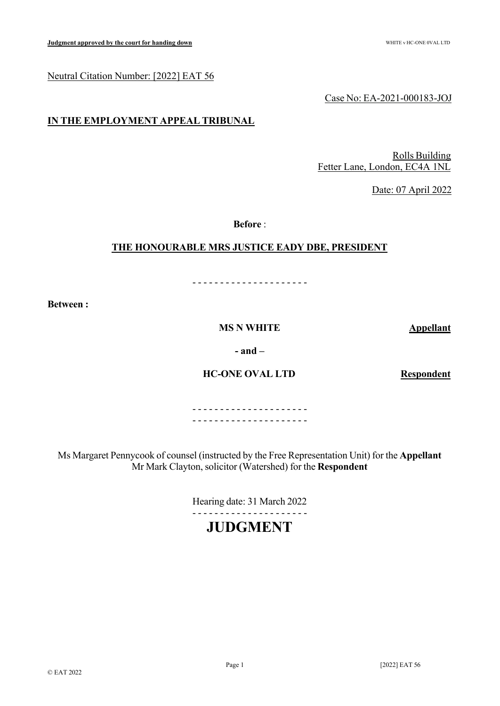## Neutral Citation Number: [2022] EAT 56

Case No: EA-2021-000183-JOJ

## **IN THE EMPLOYMENT APPEAL TRIBUNAL**

Rolls Building Fetter Lane, London, EC4A 1NL

Date: 07 April 2022

**Before** :

## **THE HONOURABLE MRS JUSTICE EADY DBE, PRESIDENT**

- - - - - - - - - - - - - - - - - - - - -

**Between :**

**MS N WHITE Appellant** 

**- and –**

**HC-ONE OVAL LTD Respondent** 

- - - - - - - - - - - - - - - - - - - - - - - - - - - - - - - - - - - - - - - - - -

Ms Margaret Pennycook of counsel (instructed by the Free Representation Unit) for the **Appellant** Mr Mark Clayton, solicitor (Watershed) for the **Respondent**

> Hearing date: 31 March 2022 - - - - - - - - - - - - - - - - - - - - -

# **JUDGMENT**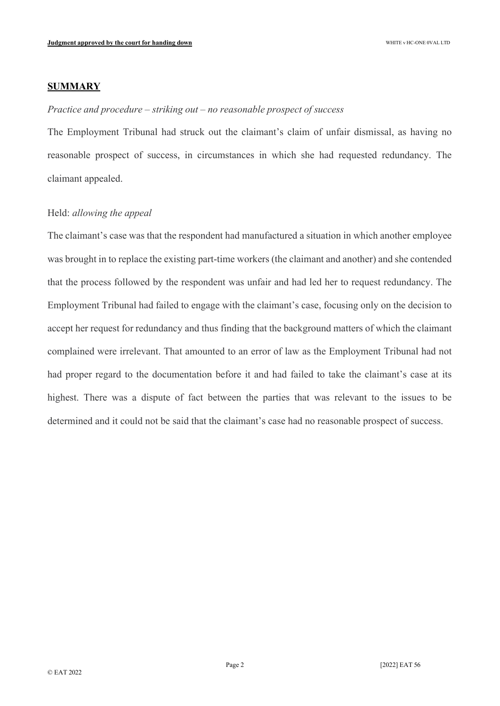## **SUMMARY**

#### *Practice and procedure – striking out – no reasonable prospect of success*

The Employment Tribunal had struck out the claimant's claim of unfair dismissal, as having no reasonable prospect of success, in circumstances in which she had requested redundancy. The claimant appealed.

## Held: *allowing the appeal*

The claimant's case was that the respondent had manufactured a situation in which another employee was brought in to replace the existing part-time workers (the claimant and another) and she contended that the process followed by the respondent was unfair and had led her to request redundancy. The Employment Tribunal had failed to engage with the claimant's case, focusing only on the decision to accept her request for redundancy and thus finding that the background matters of which the claimant complained were irrelevant. That amounted to an error of law as the Employment Tribunal had not had proper regard to the documentation before it and had failed to take the claimant's case at its highest. There was a dispute of fact between the parties that was relevant to the issues to be determined and it could not be said that the claimant's case had no reasonable prospect of success.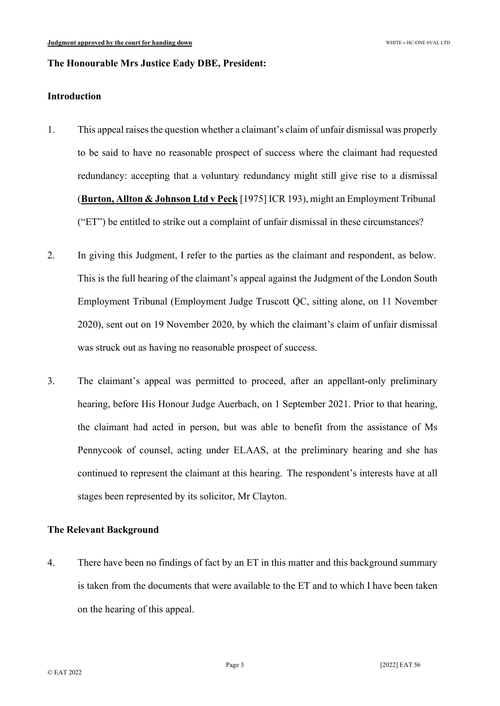## **The Honourable Mrs Justice Eady DBE, President:**

#### **Introduction**

- 1. This appeal raises the question whether a claimant's claim of unfair dismissal was properly to be said to have no reasonable prospect of success where the claimant had requested redundancy: accepting that a voluntary redundancy might still give rise to a dismissal (**Burton, Allton & Johnson Ltd v Peck** [1975] ICR 193), might an Employment Tribunal ("ET") be entitled to strike out a complaint of unfair dismissal in these circumstances?
- 2. In giving this Judgment, I refer to the parties as the claimant and respondent, as below. This is the full hearing of the claimant's appeal against the Judgment of the London South Employment Tribunal (Employment Judge Truscott QC, sitting alone, on 11 November 2020), sent out on 19 November 2020, by which the claimant's claim of unfair dismissal was struck out as having no reasonable prospect of success.
- 3. The claimant's appeal was permitted to proceed, after an appellant-only preliminary hearing, before His Honour Judge Auerbach, on 1 September 2021. Prior to that hearing, the claimant had acted in person, but was able to benefit from the assistance of Ms Pennycook of counsel, acting under ELAAS, at the preliminary hearing and she has continued to represent the claimant at this hearing. The respondent's interests have at all stages been represented by its solicitor, Mr Clayton.

## **The Relevant Background**

4. There have been no findings of fact by an ET in this matter and this background summary is taken from the documents that were available to the ET and to which I have been taken on the hearing of this appeal.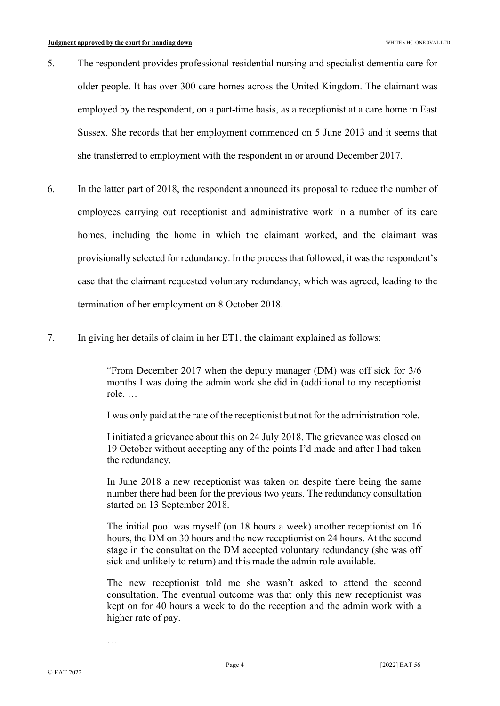- 5. The respondent provides professional residential nursing and specialist dementia care for older people. It has over 300 care homes across the United Kingdom. The claimant was employed by the respondent, on a part-time basis, as a receptionist at a care home in East Sussex. She records that her employment commenced on 5 June 2013 and it seems that she transferred to employment with the respondent in or around December 2017.
- 6. In the latter part of 2018, the respondent announced its proposal to reduce the number of employees carrying out receptionist and administrative work in a number of its care homes, including the home in which the claimant worked, and the claimant was provisionally selected for redundancy. In the process that followed, it was the respondent's case that the claimant requested voluntary redundancy, which was agreed, leading to the termination of her employment on 8 October 2018.
- 7. In giving her details of claim in her ET1, the claimant explained as follows:

"From December 2017 when the deputy manager (DM) was off sick for 3/6 months I was doing the admin work she did in (additional to my receptionist role. …

I was only paid at the rate of the receptionist but not for the administration role.

I initiated a grievance about this on 24 July 2018. The grievance was closed on 19 October without accepting any of the points I'd made and after I had taken the redundancy.

In June 2018 a new receptionist was taken on despite there being the same number there had been for the previous two years. The redundancy consultation started on 13 September 2018.

The initial pool was myself (on 18 hours a week) another receptionist on 16 hours, the DM on 30 hours and the new receptionist on 24 hours. At the second stage in the consultation the DM accepted voluntary redundancy (she was off sick and unlikely to return) and this made the admin role available.

The new receptionist told me she wasn't asked to attend the second consultation. The eventual outcome was that only this new receptionist was kept on for 40 hours a week to do the reception and the admin work with a higher rate of pay.

…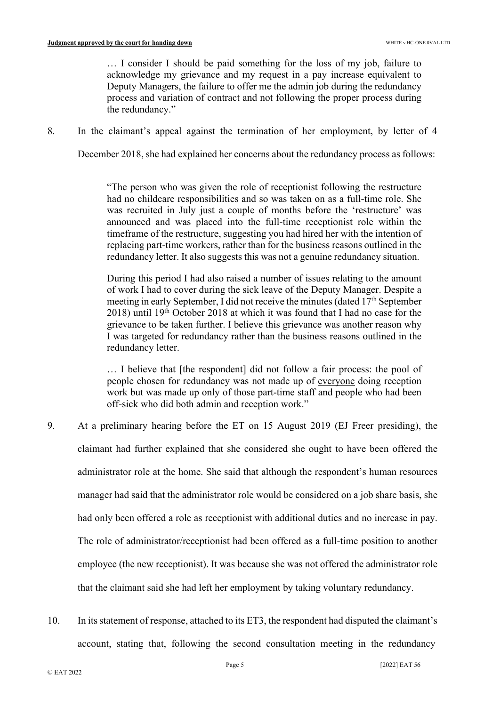… I consider I should be paid something for the loss of my job, failure to acknowledge my grievance and my request in a pay increase equivalent to Deputy Managers, the failure to offer me the admin job during the redundancy process and variation of contract and not following the proper process during the redundancy."

8. In the claimant's appeal against the termination of her employment, by letter of 4

December 2018, she had explained her concerns about the redundancy process as follows:

"The person who was given the role of receptionist following the restructure had no childcare responsibilities and so was taken on as a full-time role. She was recruited in July just a couple of months before the 'restructure' was announced and was placed into the full-time receptionist role within the timeframe of the restructure, suggesting you had hired her with the intention of replacing part-time workers, rather than for the business reasons outlined in the redundancy letter. It also suggests this was not a genuine redundancy situation.

During this period I had also raised a number of issues relating to the amount of work I had to cover during the sick leave of the Deputy Manager. Despite a meeting in early September, I did not receive the minutes (dated 17<sup>th</sup> September 2018) until 19th October 2018 at which it was found that I had no case for the grievance to be taken further. I believe this grievance was another reason why I was targeted for redundancy rather than the business reasons outlined in the redundancy letter.

… I believe that [the respondent] did not follow a fair process: the pool of people chosen for redundancy was not made up of everyone doing reception work but was made up only of those part-time staff and people who had been off-sick who did both admin and reception work."

- 9. At a preliminary hearing before the ET on 15 August 2019 (EJ Freer presiding), the claimant had further explained that she considered she ought to have been offered the administrator role at the home. She said that although the respondent's human resources manager had said that the administrator role would be considered on a job share basis, she had only been offered a role as receptionist with additional duties and no increase in pay. The role of administrator/receptionist had been offered as a full-time position to another employee (the new receptionist). It was because she was not offered the administrator role that the claimant said she had left her employment by taking voluntary redundancy.
- 10. In its statement of response, attached to its ET3, the respondent had disputed the claimant's account, stating that, following the second consultation meeting in the redundancy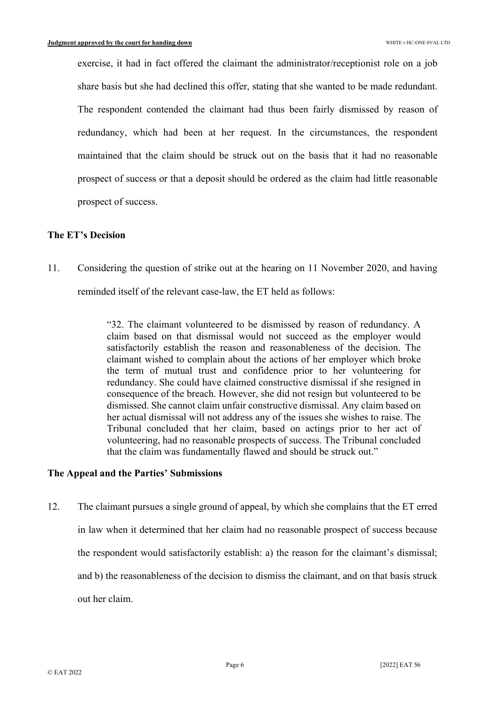exercise, it had in fact offered the claimant the administrator/receptionist role on a job share basis but she had declined this offer, stating that she wanted to be made redundant. The respondent contended the claimant had thus been fairly dismissed by reason of redundancy, which had been at her request. In the circumstances, the respondent maintained that the claim should be struck out on the basis that it had no reasonable prospect of success or that a deposit should be ordered as the claim had little reasonable prospect of success.

## **The ET's Decision**

11. Considering the question of strike out at the hearing on 11 November 2020, and having reminded itself of the relevant case-law, the ET held as follows:

> "32. The claimant volunteered to be dismissed by reason of redundancy. A claim based on that dismissal would not succeed as the employer would satisfactorily establish the reason and reasonableness of the decision. The claimant wished to complain about the actions of her employer which broke the term of mutual trust and confidence prior to her volunteering for redundancy. She could have claimed constructive dismissal if she resigned in consequence of the breach. However, she did not resign but volunteered to be dismissed. She cannot claim unfair constructive dismissal. Any claim based on her actual dismissal will not address any of the issues she wishes to raise. The Tribunal concluded that her claim, based on actings prior to her act of volunteering, had no reasonable prospects of success. The Tribunal concluded that the claim was fundamentally flawed and should be struck out."

#### **The Appeal and the Parties' Submissions**

12. The claimant pursues a single ground of appeal, by which she complains that the ET erred in law when it determined that her claim had no reasonable prospect of success because the respondent would satisfactorily establish: a) the reason for the claimant's dismissal; and b) the reasonableness of the decision to dismiss the claimant, and on that basis struck out her claim.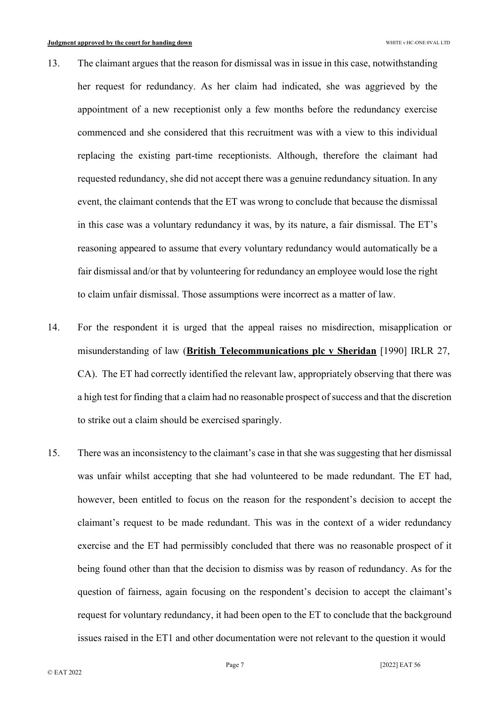- 13. The claimant argues that the reason for dismissal was in issue in this case, notwithstanding her request for redundancy. As her claim had indicated, she was aggrieved by the appointment of a new receptionist only a few months before the redundancy exercise commenced and she considered that this recruitment was with a view to this individual replacing the existing part-time receptionists. Although, therefore the claimant had requested redundancy, she did not accept there was a genuine redundancy situation. In any event, the claimant contends that the ET was wrong to conclude that because the dismissal in this case was a voluntary redundancy it was, by its nature, a fair dismissal. The ET's reasoning appeared to assume that every voluntary redundancy would automatically be a fair dismissal and/or that by volunteering for redundancy an employee would lose the right to claim unfair dismissal. Those assumptions were incorrect as a matter of law.
- 14. For the respondent it is urged that the appeal raises no misdirection, misapplication or misunderstanding of law (**British Telecommunications plc v Sheridan** [1990] IRLR 27, CA). The ET had correctly identified the relevant law, appropriately observing that there was a high test for finding that a claim had no reasonable prospect of success and that the discretion to strike out a claim should be exercised sparingly.
- 15. There was an inconsistency to the claimant's case in that she was suggesting that her dismissal was unfair whilst accepting that she had volunteered to be made redundant. The ET had, however, been entitled to focus on the reason for the respondent's decision to accept the claimant's request to be made redundant. This was in the context of a wider redundancy exercise and the ET had permissibly concluded that there was no reasonable prospect of it being found other than that the decision to dismiss was by reason of redundancy. As for the question of fairness, again focusing on the respondent's decision to accept the claimant's request for voluntary redundancy, it had been open to the ET to conclude that the background issues raised in the ET1 and other documentation were not relevant to the question it would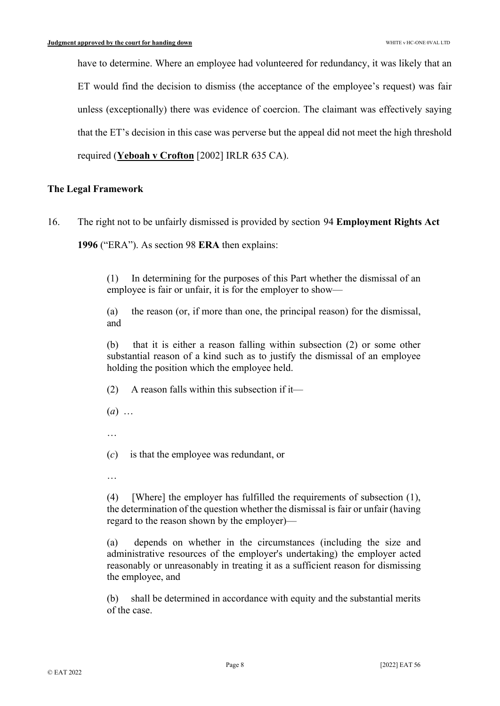have to determine. Where an employee had volunteered for redundancy, it was likely that an ET would find the decision to dismiss (the acceptance of the employee's request) was fair unless (exceptionally) there was evidence of coercion. The claimant was effectively saying that the ET's decision in this case was perverse but the appeal did not meet the high threshold required (**Yeboah v Crofton** [2002] IRLR 635 CA).

# **The Legal Framework**

16. The right not to be unfairly dismissed is provided by section 94 **Employment Rights Act 1996** ("ERA"). As section 98 **ERA** then explains:

> (1) In determining for the purposes of this Part whether the dismissal of an employee is fair or unfair, it is for the employer to show—

> (a) the reason (or, if more than one, the principal reason) for the dismissal, and

> (b) that it is either a reason falling within subsection (2) or some other substantial reason of a kind such as to justify the dismissal of an employee holding the position which the employee held.

 $(2)$  A reason falls within this subsection if it—

- $(a)$  ...
- …

(*c*) is that the employee was redundant, or

…

(4) [Where] the employer has fulfilled the requirements of subsection (1), the determination of the question whether the dismissal is fair or unfair (having regard to the reason shown by the employer)—

(a) depends on whether in the circumstances (including the size and administrative resources of the employer's undertaking) the employer acted reasonably or unreasonably in treating it as a sufficient reason for dismissing the employee, and

(b) shall be determined in accordance with equity and the substantial merits of the case.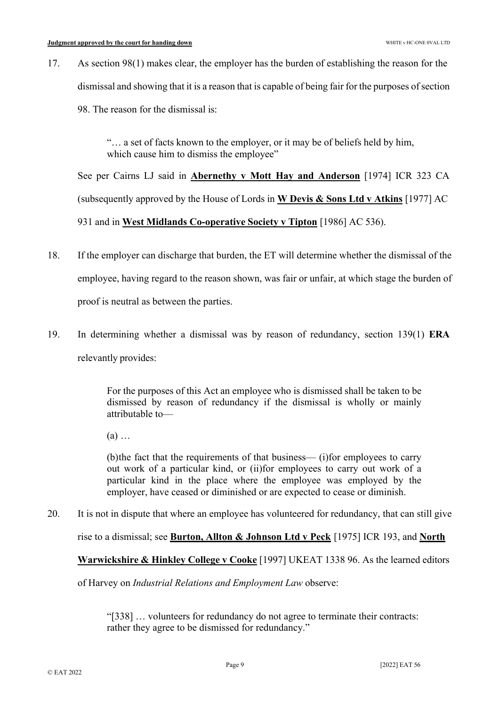17. As section 98(1) makes clear, the employer has the burden of establishing the reason for the dismissal and showing that it is a reason that is capable of being fair for the purposes of section 98. The reason for the dismissal is:

> "… a set of facts known to the employer, or it may be of beliefs held by him, which cause him to dismiss the employee"

See per Cairns LJ said in **Abernethy v Mott Hay and Anderson** [1974] ICR 323 CA (subsequently approved by the House of Lords in **W Devis & Sons Ltd v Atkins** [1977] AC 931 and in **West Midlands Co-operative Society v Tipton** [1986] AC 536).

- 18. If the employer can discharge that burden, the ET will determine whether the dismissal of the employee, having regard to the reason shown, was fair or unfair, at which stage the burden of proof is neutral as between the parties.
- 19. In determining whether a dismissal was by reason of redundancy, section 139(1) **ERA** relevantly provides:

For the purposes of this Act an employee who is dismissed shall be taken to be dismissed by reason of redundancy if the dismissal is wholly or mainly attributable to—

 $(a)$  ...

(b)the fact that the requirements of that business— (i)for employees to carry out work of a particular kind, or (ii)for employees to carry out work of a particular kind in the place where the employee was employed by the employer, have ceased or diminished or are expected to cease or diminish.

20. It is not in dispute that where an employee has volunteered for redundancy, that can still give

rise to a dismissal; see **Burton, Allton & Johnson Ltd v Peck** [1975] ICR 193, and **North**

**Warwickshire & Hinkley College v Cooke** [1997] UKEAT 1338 96. As the learned editors

of Harvey on *Industrial Relations and Employment Law* observe:

"[338] … volunteers for redundancy do not agree to terminate their contracts: rather they agree to be dismissed for redundancy."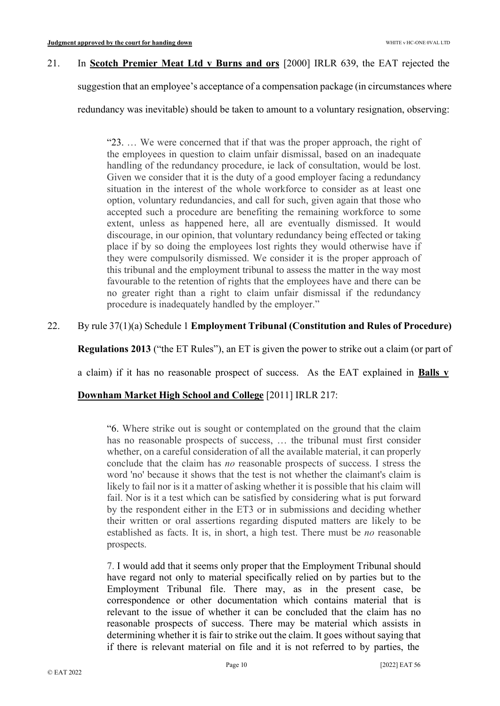## 21. In **Scotch Premier Meat Ltd v Burns and ors** [2000] IRLR 639, the EAT rejected the

suggestion that an employee's acceptance of a compensation package (in circumstances where

redundancy was inevitable) should be taken to amount to a voluntary resignation, observing:

"23. … We were concerned that if that was the proper approach, the right of the employees in question to claim unfair dismissal, based on an inadequate handling of the redundancy procedure, ie lack of consultation, would be lost. Given we consider that it is the duty of a good employer facing a redundancy situation in the interest of the whole workforce to consider as at least one option, voluntary redundancies, and call for such, given again that those who accepted such a procedure are benefiting the remaining workforce to some extent, unless as happened here, all are eventually dismissed. It would discourage, in our opinion, that voluntary redundancy being effected or taking place if by so doing the employees lost rights they would otherwise have if they were compulsorily dismissed. We consider it is the proper approach of this tribunal and the employment tribunal to assess the matter in the way most favourable to the retention of rights that the employees have and there can be no greater right than a right to claim unfair dismissal if the redundancy procedure is inadequately handled by the employer."

# 22. By rule 37(1)(a) Schedule 1 **Employment Tribunal (Constitution and Rules of Procedure)**

**Regulations 2013** ("the ET Rules"), an ET is given the power to strike out a claim (or part of

a claim) if it has no reasonable prospect of success. As the EAT explained in **Balls v**

## **Downham Market High School and College** [2011] IRLR 217:

"6. Where strike out is sought or contemplated on the ground that the claim has no reasonable prospects of success, … the tribunal must first consider whether, on a careful consideration of all the available material, it can properly conclude that the claim has *no* reasonable prospects of success. I stress the word 'no' because it shows that the test is not whether the claimant's claim is likely to fail nor is it a matter of asking whether it is possible that his claim will fail. Nor is it a test which can be satisfied by considering what is put forward by the respondent either in the ET3 or in submissions and deciding whether their written or oral assertions regarding disputed matters are likely to be established as facts. It is, in short, a high test. There must be *no* reasonable prospects.

7. I would add that it seems only proper that the Employment Tribunal should have regard not only to material specifically relied on by parties but to the Employment Tribunal file. There may, as in the present case, be correspondence or other documentation which contains material that is relevant to the issue of whether it can be concluded that the claim has no reasonable prospects of success. There may be material which assists in determining whether it is fair to strike out the claim. It goes without saying that if there is relevant material on file and it is not referred to by parties, the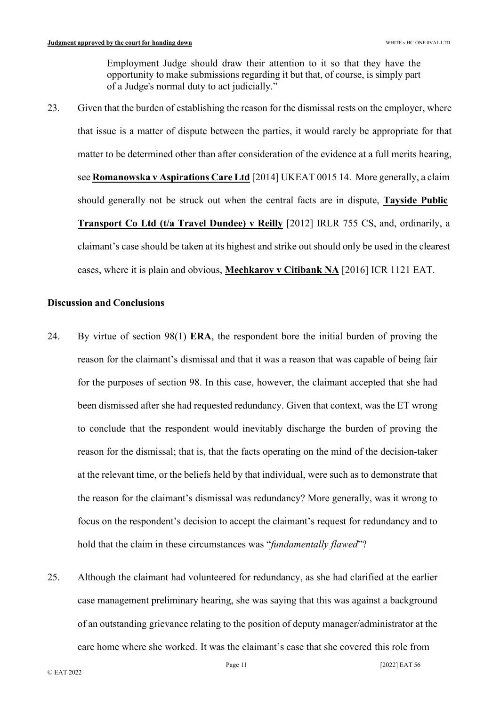Employment Judge should draw their attention to it so that they have the opportunity to make submissions regarding it but that, of course, is simply part of a Judge's normal duty to act judicially."

23. Given that the burden of establishing the reason for the dismissal rests on the employer, where that issue is a matter of dispute between the parties, it would rarely be appropriate for that matter to be determined other than after consideration of the evidence at a full merits hearing, see **Romanowska v Aspirations Care Ltd** [2014] UKEAT 0015 14. More generally, a claim should generally not be struck out when the central facts are in dispute, **Tayside Public Transport Co Ltd (t/a Travel Dundee) v Reilly** [2012] IRLR 755 CS, and, ordinarily, a claimant's case should be taken at its highest and strike out should only be used in the clearest cases, where it is plain and obvious, **Mechkarov v Citibank NA** [2016] ICR 1121 EAT.

## **Discussion and Conclusions**

- 24. By virtue of section 98(1) **ERA**, the respondent bore the initial burden of proving the reason for the claimant's dismissal and that it was a reason that was capable of being fair for the purposes of section 98. In this case, however, the claimant accepted that she had been dismissed after she had requested redundancy. Given that context, was the ET wrong to conclude that the respondent would inevitably discharge the burden of proving the reason for the dismissal; that is, that the facts operating on the mind of the decision-taker at the relevant time, or the beliefs held by that individual, were such as to demonstrate that the reason for the claimant's dismissal was redundancy? More generally, was it wrong to focus on the respondent's decision to accept the claimant's request for redundancy and to hold that the claim in these circumstances was "*fundamentally flawed*"?
- 25. Although the claimant had volunteered for redundancy, as she had clarified at the earlier case management preliminary hearing, she was saying that this was against a background of an outstanding grievance relating to the position of deputy manager/administrator at the care home where she worked. It was the claimant's case that she covered this role from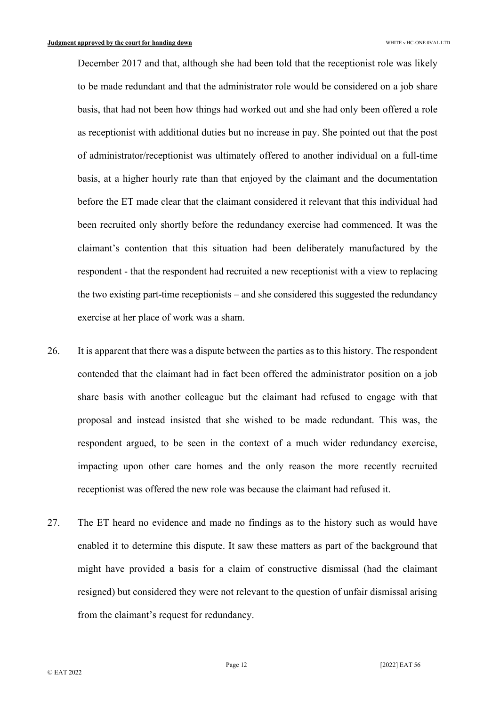December 2017 and that, although she had been told that the receptionist role was likely to be made redundant and that the administrator role would be considered on a job share basis, that had not been how things had worked out and she had only been offered a role as receptionist with additional duties but no increase in pay. She pointed out that the post of administrator/receptionist was ultimately offered to another individual on a full-time basis, at a higher hourly rate than that enjoyed by the claimant and the documentation before the ET made clear that the claimant considered it relevant that this individual had been recruited only shortly before the redundancy exercise had commenced. It was the claimant's contention that this situation had been deliberately manufactured by the respondent - that the respondent had recruited a new receptionist with a view to replacing the two existing part-time receptionists – and she considered this suggested the redundancy exercise at her place of work was a sham.

- 26. It is apparent that there was a dispute between the parties as to this history. The respondent contended that the claimant had in fact been offered the administrator position on a job share basis with another colleague but the claimant had refused to engage with that proposal and instead insisted that she wished to be made redundant. This was, the respondent argued, to be seen in the context of a much wider redundancy exercise, impacting upon other care homes and the only reason the more recently recruited receptionist was offered the new role was because the claimant had refused it.
- 27. The ET heard no evidence and made no findings as to the history such as would have enabled it to determine this dispute. It saw these matters as part of the background that might have provided a basis for a claim of constructive dismissal (had the claimant resigned) but considered they were not relevant to the question of unfair dismissal arising from the claimant's request for redundancy.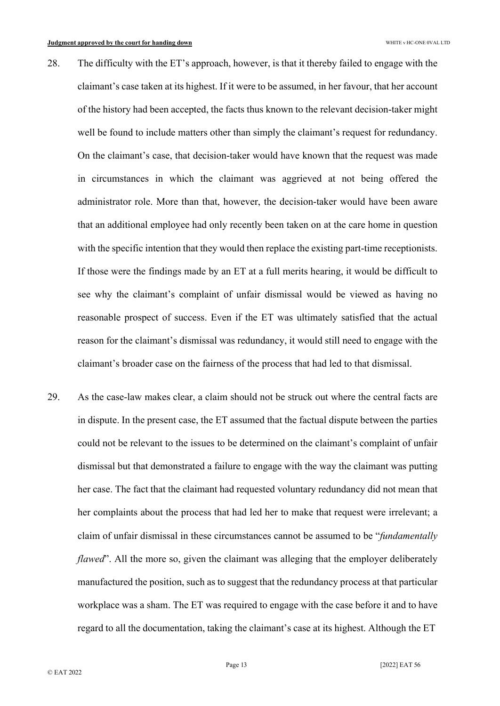- 28. The difficulty with the ET's approach, however, is that it thereby failed to engage with the claimant's case taken at its highest. If it were to be assumed, in her favour, that her account of the history had been accepted, the facts thus known to the relevant decision-taker might well be found to include matters other than simply the claimant's request for redundancy. On the claimant's case, that decision-taker would have known that the request was made in circumstances in which the claimant was aggrieved at not being offered the administrator role. More than that, however, the decision-taker would have been aware that an additional employee had only recently been taken on at the care home in question with the specific intention that they would then replace the existing part-time receptionists. If those were the findings made by an ET at a full merits hearing, it would be difficult to see why the claimant's complaint of unfair dismissal would be viewed as having no reasonable prospect of success. Even if the ET was ultimately satisfied that the actual reason for the claimant's dismissal was redundancy, it would still need to engage with the claimant's broader case on the fairness of the process that had led to that dismissal.
- 29. As the case-law makes clear, a claim should not be struck out where the central facts are in dispute. In the present case, the ET assumed that the factual dispute between the parties could not be relevant to the issues to be determined on the claimant's complaint of unfair dismissal but that demonstrated a failure to engage with the way the claimant was putting her case. The fact that the claimant had requested voluntary redundancy did not mean that her complaints about the process that had led her to make that request were irrelevant; a claim of unfair dismissal in these circumstances cannot be assumed to be "*fundamentally flawed*". All the more so, given the claimant was alleging that the employer deliberately manufactured the position, such as to suggest that the redundancy process at that particular workplace was a sham. The ET was required to engage with the case before it and to have regard to all the documentation, taking the claimant's case at its highest. Although the ET